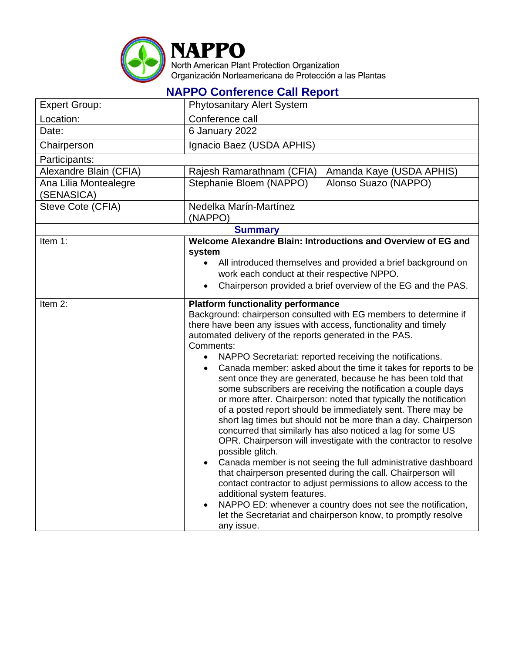

**NAPPO Conference Call Report**

| <b>Expert Group:</b>                | <b>Phytosanitary Alert System</b>                                                                                                                                                                                                                                                                                                                                                                                                                                                                                                                                                                                                                                                                                                                                                                                                                                                                                                                                                                                                                                                                                                                                                                                                                                                        |                          |  |  |
|-------------------------------------|------------------------------------------------------------------------------------------------------------------------------------------------------------------------------------------------------------------------------------------------------------------------------------------------------------------------------------------------------------------------------------------------------------------------------------------------------------------------------------------------------------------------------------------------------------------------------------------------------------------------------------------------------------------------------------------------------------------------------------------------------------------------------------------------------------------------------------------------------------------------------------------------------------------------------------------------------------------------------------------------------------------------------------------------------------------------------------------------------------------------------------------------------------------------------------------------------------------------------------------------------------------------------------------|--------------------------|--|--|
| Location:                           | Conference call                                                                                                                                                                                                                                                                                                                                                                                                                                                                                                                                                                                                                                                                                                                                                                                                                                                                                                                                                                                                                                                                                                                                                                                                                                                                          |                          |  |  |
| Date:                               | 6 January 2022                                                                                                                                                                                                                                                                                                                                                                                                                                                                                                                                                                                                                                                                                                                                                                                                                                                                                                                                                                                                                                                                                                                                                                                                                                                                           |                          |  |  |
| Chairperson                         | Ignacio Baez (USDA APHIS)                                                                                                                                                                                                                                                                                                                                                                                                                                                                                                                                                                                                                                                                                                                                                                                                                                                                                                                                                                                                                                                                                                                                                                                                                                                                |                          |  |  |
| Participants:                       |                                                                                                                                                                                                                                                                                                                                                                                                                                                                                                                                                                                                                                                                                                                                                                                                                                                                                                                                                                                                                                                                                                                                                                                                                                                                                          |                          |  |  |
| Alexandre Blain (CFIA)              | Rajesh Ramarathnam (CFIA)                                                                                                                                                                                                                                                                                                                                                                                                                                                                                                                                                                                                                                                                                                                                                                                                                                                                                                                                                                                                                                                                                                                                                                                                                                                                | Amanda Kaye (USDA APHIS) |  |  |
| Ana Lilia Montealegre<br>(SENASICA) | Stephanie Bloem (NAPPO)                                                                                                                                                                                                                                                                                                                                                                                                                                                                                                                                                                                                                                                                                                                                                                                                                                                                                                                                                                                                                                                                                                                                                                                                                                                                  | Alonso Suazo (NAPPO)     |  |  |
| Steve Cote (CFIA)                   | Nedelka Marín-Martínez<br>(NAPPO)                                                                                                                                                                                                                                                                                                                                                                                                                                                                                                                                                                                                                                                                                                                                                                                                                                                                                                                                                                                                                                                                                                                                                                                                                                                        |                          |  |  |
| <b>Summary</b>                      |                                                                                                                                                                                                                                                                                                                                                                                                                                                                                                                                                                                                                                                                                                                                                                                                                                                                                                                                                                                                                                                                                                                                                                                                                                                                                          |                          |  |  |
| Item 1:                             | Welcome Alexandre Blain: Introductions and Overview of EG and<br>system<br>All introduced themselves and provided a brief background on<br>work each conduct at their respective NPPO.<br>Chairperson provided a brief overview of the EG and the PAS.<br>$\bullet$                                                                                                                                                                                                                                                                                                                                                                                                                                                                                                                                                                                                                                                                                                                                                                                                                                                                                                                                                                                                                      |                          |  |  |
| Item 2:                             | <b>Platform functionality performance</b><br>Background: chairperson consulted with EG members to determine if<br>there have been any issues with access, functionality and timely<br>automated delivery of the reports generated in the PAS.<br>Comments:<br>NAPPO Secretariat: reported receiving the notifications.<br>Canada member: asked about the time it takes for reports to be<br>٠<br>sent once they are generated, because he has been told that<br>some subscribers are receiving the notification a couple days<br>or more after. Chairperson: noted that typically the notification<br>of a posted report should be immediately sent. There may be<br>short lag times but should not be more than a day. Chairperson<br>concurred that similarly has also noticed a lag for some US<br>OPR. Chairperson will investigate with the contractor to resolve<br>possible glitch.<br>Canada member is not seeing the full administrative dashboard<br>that chairperson presented during the call. Chairperson will<br>contact contractor to adjust permissions to allow access to the<br>additional system features.<br>NAPPO ED: whenever a country does not see the notification,<br>$\bullet$<br>let the Secretariat and chairperson know, to promptly resolve<br>any issue. |                          |  |  |